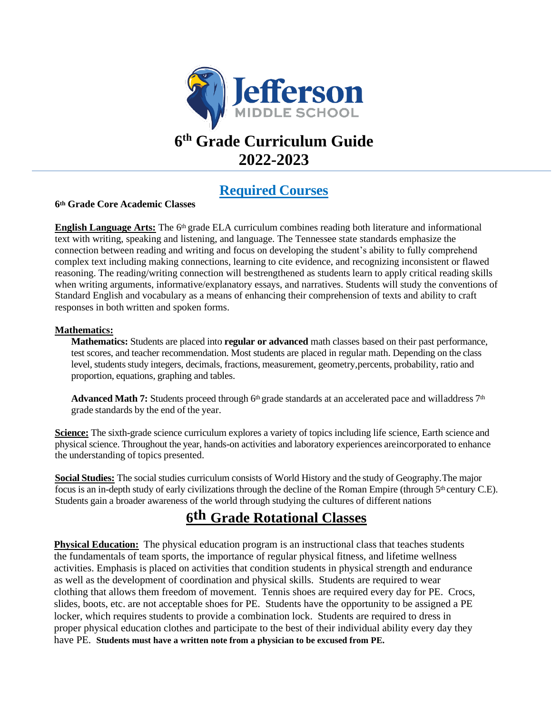

# **6 th Grade Curriculum Guide 2022-2023**

## **Required Courses**

### **6th Grade Core Academic Classes**

**English Language Arts:** The 6<sup>th</sup> grade ELA curriculum combines reading both literature and informational text with writing, speaking and listening, and language. The Tennessee state standards emphasize the connection between reading and writing and focus on developing the student's ability to fully comprehend complex text including making connections, learning to cite evidence, and recognizing inconsistent or flawed reasoning. The reading/writing connection will bestrengthened as students learn to apply critical reading skills when writing arguments, informative/explanatory essays, and narratives. Students will study the conventions of Standard English and vocabulary as a means of enhancing their comprehension of texts and ability to craft responses in both written and spoken forms.

### **Mathematics:**

**Mathematics:** Students are placed into **regular or advanced** math classes based on their past performance, test scores, and teacher recommendation. Most students are placed in regular math. Depending on the class level, studentsstudy integers, decimals, fractions, measurement, geometry,percents, probability, ratio and proportion, equations, graphing and tables.

Advanced Math 7: Students proceed through 6<sup>th</sup> grade standards at an accelerated pace and willaddress 7<sup>th</sup> grade standards by the end of the year.

**Science:** The sixth-grade science curriculum explores a variety of topics including life science, Earth science and physical science. Throughout the year, hands-on activities and laboratory experiences areincorporated to enhance the understanding of topics presented.

**Social Studies:** The social studies curriculum consists of World History and the study of Geography.The major focus is an in-depth study of early civilizations through the decline of the Roman Empire (through 5th century C.E). Students gain a broader awareness of the world through studying the cultures of different nations

## **6th Grade Rotational Classes**

**Physical Education:** The physical education program is an instructional class that teaches students the fundamentals of team sports, the importance of regular physical fitness, and lifetime wellness activities. Emphasis is placed on activities that condition students in physical strength and endurance as well as the development of coordination and physical skills. Students are required to wear clothing that allows them freedom of movement. Tennis shoes are required every day for PE. Crocs, slides, boots, etc. are not acceptable shoes for PE. Students have the opportunity to be assigned a PE locker, which requires students to provide a combination lock. Students are required to dress in proper physical education clothes and participate to the best of their individual ability every day they have PE. **Students must have a written note from a physician to be excused from PE.**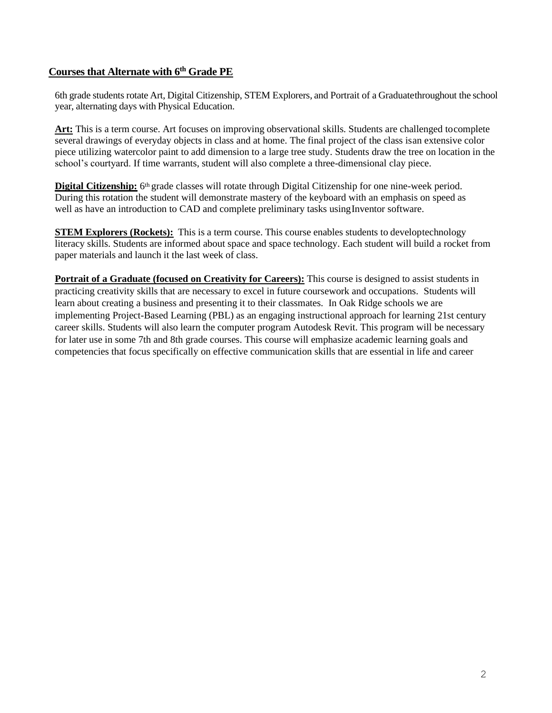## **Courses that Alternate with 6 th Grade PE**

6th grade students rotate Art, Digital Citizenship, STEM Explorers, and Portrait of a Graduatethroughout the school year, alternating days with Physical Education.

**Art:** This is a term course. Art focuses on improving observational skills. Students are challenged tocomplete several drawings of everyday objects in class and at home. The final project of the class isan extensive color piece utilizing watercolor paint to add dimension to a large tree study. Students draw the tree on location in the school's courtyard. If time warrants, student will also complete a three-dimensional clay piece.

**Digital Citizenship:** 6<sup>th</sup> grade classes will rotate through Digital Citizenship for one nine-week period. During this rotation the student will demonstrate mastery of the keyboard with an emphasis on speed as well as have an introduction to CAD and complete preliminary tasks usingInventor software.

**STEM Explorers (Rockets):** This is a term course. This course enables students to developtechnology literacy skills. Students are informed about space and space technology. Each student will build a rocket from paper materials and launch it the last week of class.

**Portrait of a Graduate (focused on Creativity for Careers):** This course is designed to assist students in practicing creativity skills that are necessary to excel in future coursework and occupations. Students will learn about creating a business and presenting it to their classmates. In Oak Ridge schools we are implementing Project-Based Learning (PBL) as an engaging instructional approach for learning 21st century career skills. Students will also learn the computer program Autodesk Revit. This program will be necessary for later use in some 7th and 8th grade courses. This course will emphasize academic learning goals and competencies that focus specifically on effective communication skills that are essential in life and career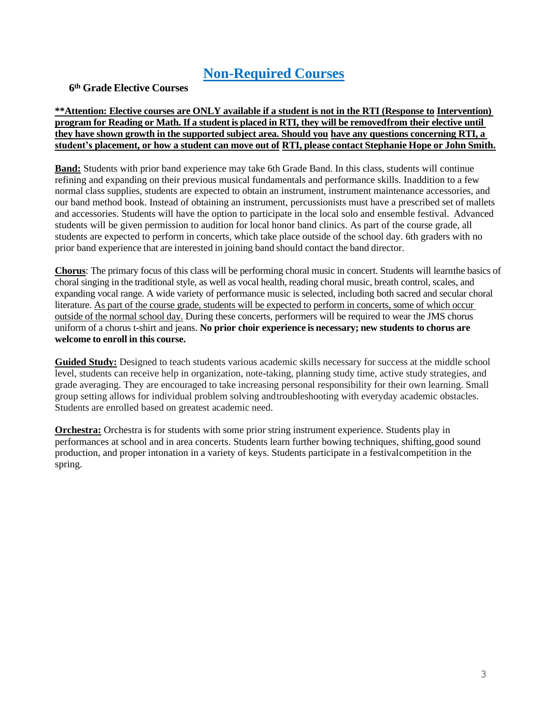## **Non-Required Courses**

## **6th Grade Elective Courses**

### **\*\*Attention: Elective courses are ONLY available if a student is not in the RTI (Response to Intervention) program for Reading or Math. If a student is placed in RTI, they will be removedfrom their elective until they have shown growth in the supported subject area. Should you have any questions concerning RTI, a student's placement, or how a student can move out of RTI, please contact Stephanie Hope or John Smith.**

**Band:** Students with prior band experience may take 6th Grade Band. In this class, students will continue refining and expanding on their previous musical fundamentals and performance skills. Inaddition to a few normal class supplies, students are expected to obtain an instrument, instrument maintenance accessories, and our band method book. Instead of obtaining an instrument, percussionists must have a prescribed set of mallets and accessories. Students will have the option to participate in the local solo and ensemble festival. Advanced students will be given permission to audition for local honor band clinics. As part of the course grade, all students are expected to perform in concerts, which take place outside of the school day. 6th graders with no prior band experience that are interested in joining band should contact the band director.

**Chorus**: The primary focus of this class will be performing choral music in concert. Students will learnthe basics of choral singing in the traditional style, as well as vocal health, reading choral music, breath control, scales, and expanding vocal range. A wide variety of performance music is selected, including both sacred and secular choral literature. As part of the course grade, students will be expected to perform in concerts, some of which occur outside of the normal school day. During these concerts, performers will be required to wear the JMS chorus uniform of a chorus t-shirt and jeans. **No prior choir experience is necessary; new students to chorus are welcome to enroll in this course.**

**Guided Study:** Designed to teach students various academic skills necessary for success at the middle school level, students can receive help in organization, note-taking, planning study time, active study strategies, and grade averaging. They are encouraged to take increasing personal responsibility for their own learning. Small group setting allows for individual problem solving andtroubleshooting with everyday academic obstacles. Students are enrolled based on greatest academic need.

**Orchestra:** Orchestra is for students with some prior string instrument experience. Students play in performances at school and in area concerts. Students learn further bowing techniques, shifting,good sound production, and proper intonation in a variety of keys. Students participate in a festivalcompetition in the spring.